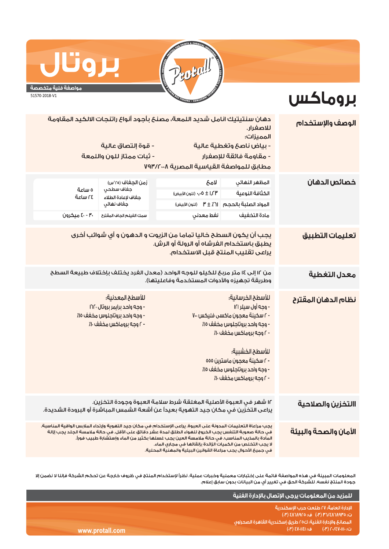

## Uo D

مواصفة فنية متخصصة

51570-2018-V1

## بروماكس

دهان سنتيتيك انامل شديد اللمعة، مصنعٌ بأجود أنواع راتنجات الالكيد المقاومة الوصف والإستخدام للاصفرار. المميزات: - قوة إلتصاق عالية - بياض ناصح وتغطية عالية - ثبات ممتاز للون واللمعة - مقاومة فائقة للإصفرار مطابق للمواصفة القياسية المصرية ٧٩٣/٢٠٠٨ خصائص الدهان زمن الجغاف (٢٥°س) لامځ المظهر النهائى جفاف سطحى ە ساعة ۰٫۰۵ ± ۱٫۲۳ (للون الأبيض) الكثافة النوعية icLu (8 حفاف لاعادة الطلاء حفاف نهائى المواد الصلية بالحجم | T / ± ۳ (نلون الأبيض) ۴۰ - ٤٠ میکرون مادة التخفيف سمك الغيلم الجاف المقترح نفط معدنى يجب أن يكون السطح خاليا تماما من الزيوت و الدهون و أى شوائب أخرى تعليمات التطبيق يطبق باستخدام الفرشاه أو الرولة أو الرش. يراعى تقليب المنتج قبل الاستخدام. من ١٢ إلى ١٤ متر مربح للكيلو للوجه الواحد (معدل الفرد يختلف بإختلاف طبيعة السطح معدل التغطية وطريقة تحهيزه والأدوات المستخدمة وفاعليتها). للأسطح الخرسانية؛ للأسطح المعدنية؛ نظام الدهان المقترح - وحه أول سيلر ١٢١ - وجه واحد برايمر بروتال ١٦٢٠ - وجه واحد بروتاجلوس مخفف ١٥٪ - ٢ سكينة معجون ماكسى فليكس ٧٠٠ - ٢ وحه بروماكس مخفف ١٠٪ - وجه واحد بروتاجلوس مخفف ١٥٪ - ٢ وحه بروماكس محفف ١٠٪ للأسطح الخشىية؛ - ٢ سكننة معجون ماسترين ٥٥٥ - وحه واحد بروتاحلوس مخفف ١٥٪ - ٢ وجه بروماكس محفف ١٠٪ ١٢ شهر فى العبوة الأصلية المغلقة شرط سلامة العبوة وجودة التخزين. االتخزين والصلاحية يراعى التخزين في مكان جيد التهوية بعيداً عن أشعة الشمس المباشرة أو البرودة الشديدة. يجب مراعاة التعليمات المدونة على العبوة. يراعى الإستخدام في مكان جيد التهوية وإرتداء الملابس الواقية المناسبة. الأمان والصحة والبيئة في حالة صعوبة التنفس يجب الخروج للهواء الطلق لمدة عشر دقائق على الأقل. في حالة ملامسة الجلد يجب إزالة المادة بالمذيب المناسب. في حالة ملامسة العين يجب غسلها بكثير من الماء وإستشارة طبيب فوراً. لا يجب التخلص من الكميات الزائدة بإلقائها في مجاري الماء.

المعلومات المبينة فى هذه المواصفة قائمة على إختبارات معملية وخبرات عملية. نظراً لإستخدام المنتج فى ظروف خارجة عن تحكم الشركة فإننا لا نضمن إلا جودة المنتج نفسه. للشركة الحق فى تغيير أى من البيانات بدون سابق إعلام.

|                 | ِ للمزيد من المعلومات يرجى الإتصال بالإدارة الفنية ا                                                                                                                                     |
|-----------------|------------------------------------------------------------------------------------------------------------------------------------------------------------------------------------------|
| www.protall.com | الإدارة العامة؛ ٢٧ طلعت حرب الإسكندرية<br>ت: ۴/۸٦٨٩٣٥/٣١ (٣٠) ف: ٤٨٦٨٩٢٥ (٣٠)<br>المصانع والإدارة الفنية؛ ك٢٥ طريق إسكندرية القاهرة الصحراوى ،<br>,ت:، ۲۰/٤٧٠١١١٠) هـ - (۳۰) - هـ (۳۰) ا |

.<br>في جميعَ الأحوال يجب مراعاة القوانين البيئية والمهنية المحلية.